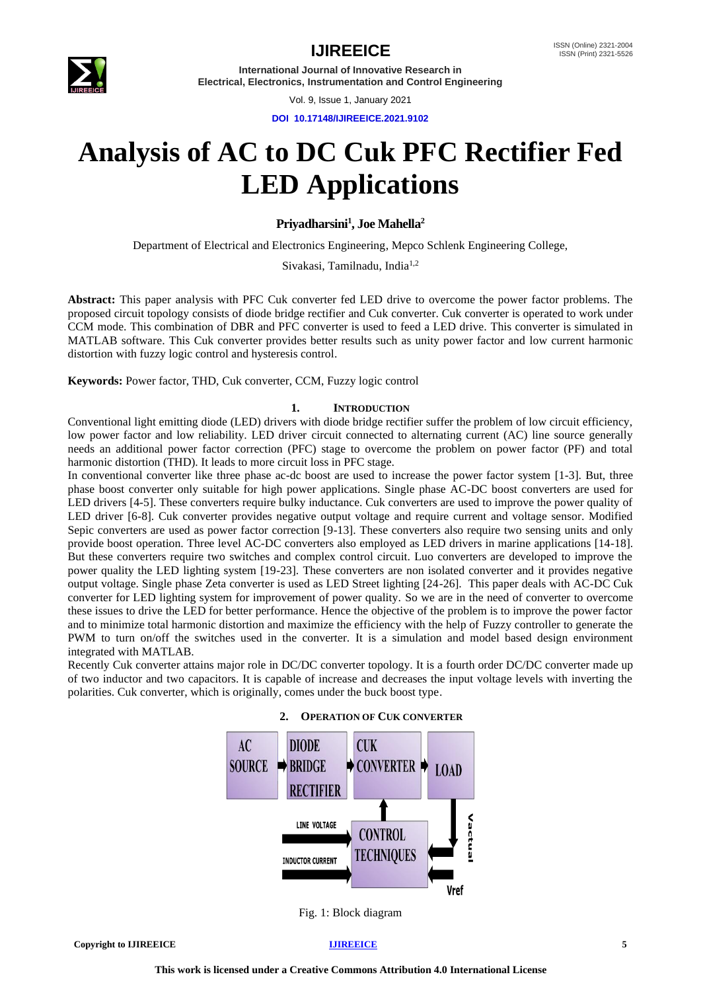

**International Journal of Innovative Research in Electrical, Electronics, Instrumentation and Control Engineering**

Vol. 9, Issue 1, January 2021

**DOI 10.17148/IJIREEICE.2021.9102**

# **Analysis of AC to DC Cuk PFC Rectifier Fed LED Applications**

## **Priyadharsini<sup>1</sup> , Joe Mahella<sup>2</sup>**

Department of Electrical and Electronics Engineering, Mepco Schlenk Engineering College,

Sivakasi, Tamilnadu, India<sup>1,2</sup>

**Abstract:** This paper analysis with PFC Cuk converter fed LED drive to overcome the power factor problems. The proposed circuit topology consists of diode bridge rectifier and Cuk converter. Cuk converter is operated to work under CCM mode. This combination of DBR and PFC converter is used to feed a LED drive. This converter is simulated in MATLAB software. This Cuk converter provides better results such as unity power factor and low current harmonic distortion with fuzzy logic control and hysteresis control.

**Keywords:** Power factor, THD, Cuk converter, CCM, Fuzzy logic control

## **1. INTRODUCTION**

Conventional light emitting diode (LED) drivers with diode bridge rectifier suffer the problem of low circuit efficiency, low power factor and low reliability. LED driver circuit connected to alternating current (AC) line source generally needs an additional power factor correction (PFC) stage to overcome the problem on power factor (PF) and total harmonic distortion (THD). It leads to more circuit loss in PFC stage.

In conventional converter like three phase ac-dc boost are used to increase the power factor system [1-3]. But, three phase boost converter only suitable for high power applications. Single phase AC-DC boost converters are used for LED drivers [4-5]. These converters require bulky inductance. Cuk converters are used to improve the power quality of LED driver [6-8]. Cuk converter provides negative output voltage and require current and voltage sensor. Modified Sepic converters are used as power factor correction [9-13]. These converters also require two sensing units and only provide boost operation. Three level AC-DC converters also employed as LED drivers in marine applications [14-18]. But these converters require two switches and complex control circuit. Luo converters are developed to improve the power quality the LED lighting system [19-23]. These converters are non isolated converter and it provides negative output voltage. Single phase Zeta converter is used as LED Street lighting [24-26]. This paper deals with AC-DC Cuk converter for LED lighting system for improvement of power quality. So we are in the need of converter to overcome these issues to drive the LED for better performance. Hence the objective of the problem is to improve the power factor and to minimize total harmonic distortion and maximize the efficiency with the help of Fuzzy controller to generate the PWM to turn on/off the switches used in the converter. It is a simulation and model based design environment integrated with MATLAB.

Recently Cuk converter attains major role in DC/DC converter topology. It is a fourth order DC/DC converter made up of two inductor and two capacitors. It is capable of increase and decreases the input voltage levels with inverting the polarities. Cuk converter, which is originally, comes under the buck boost type.



# **2. OPERATION OF CUK CONVERTER**

Fig. 1: Block diagram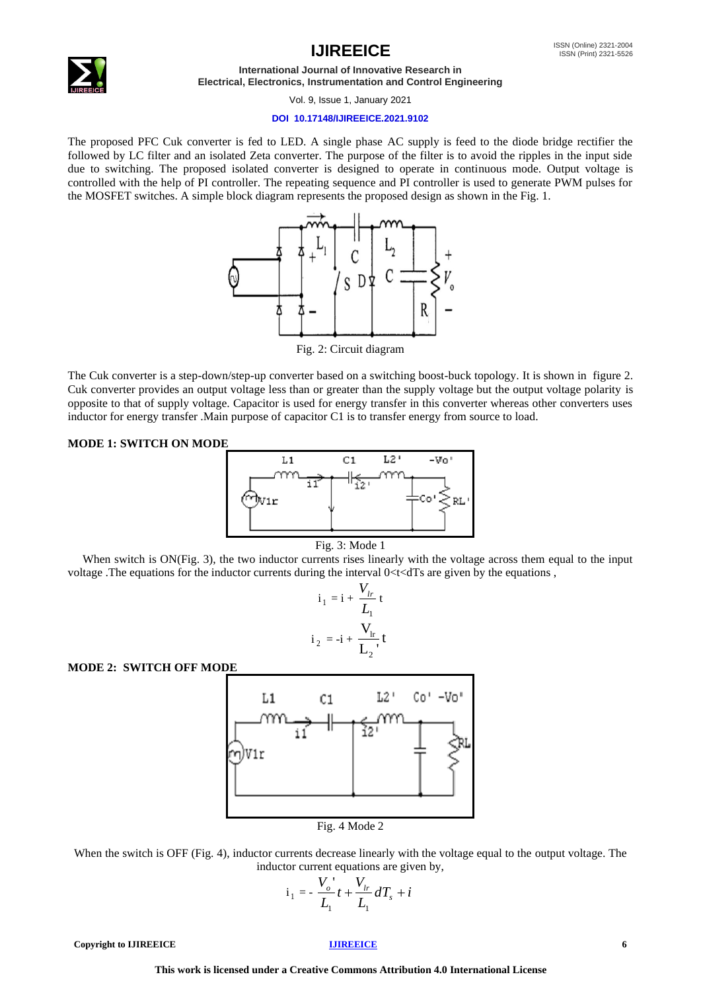

**International Journal of Innovative Research in Electrical, Electronics, Instrumentation and Control Engineering**

Vol. 9, Issue 1, January 2021

## **DOI 10.17148/IJIREEICE.2021.9102**

The proposed PFC Cuk converter is fed to LED. A single phase AC supply is feed to the diode bridge rectifier the followed by LC filter and an isolated Zeta converter. The purpose of the filter is to avoid the ripples in the input side due to switching. The proposed isolated converter is designed to operate in continuous mode. Output voltage is controlled with the help of PI controller. The repeating sequence and PI controller is used to generate PWM pulses for the MOSFET switches. A simple block diagram represents the proposed design as shown in the Fig. 1.



The Cuk converter is a step-down/step-up converter based on a switching boost-buck topology. It is shown in figure 2. Cuk converter provides an output voltage less than or greater than the supply voltage but the output voltage polarity is opposite to that of supply voltage. Capacitor is used for energy transfer in this converter whereas other converters uses inductor for energy transfer .Main purpose of capacitor C1 is to transfer energy from source to load.

## **MODE 1: SWITCH ON MODE**





When switch is ON(Fig. 3), the two inductor currents rises linearly with the voltage across them equal to the input voltage .The equations for the inductor currents during the interval 0<t<dTs are given by the equations ,

$$
i_1 = i + \frac{V_{lr}}{L_1}t
$$
  

$$
i_2 = -i + \frac{V_{lr}}{L_2}t
$$

**MODE 2: SWITCH OFF MODE**



When the switch is OFF (Fig. 4), inductor currents decrease linearly with the voltage equal to the output voltage. The inductor current equations are given by,

$$
i_1 = -\frac{V_o}{L_1}t + \frac{V_h}{L_1}dT_s + i
$$

**Copyright to IJIREEICE** *Copyright* **to [IJIREEICE](https://ijireeice.com/) <b>***COPYright* to **IJIREEICE** *6*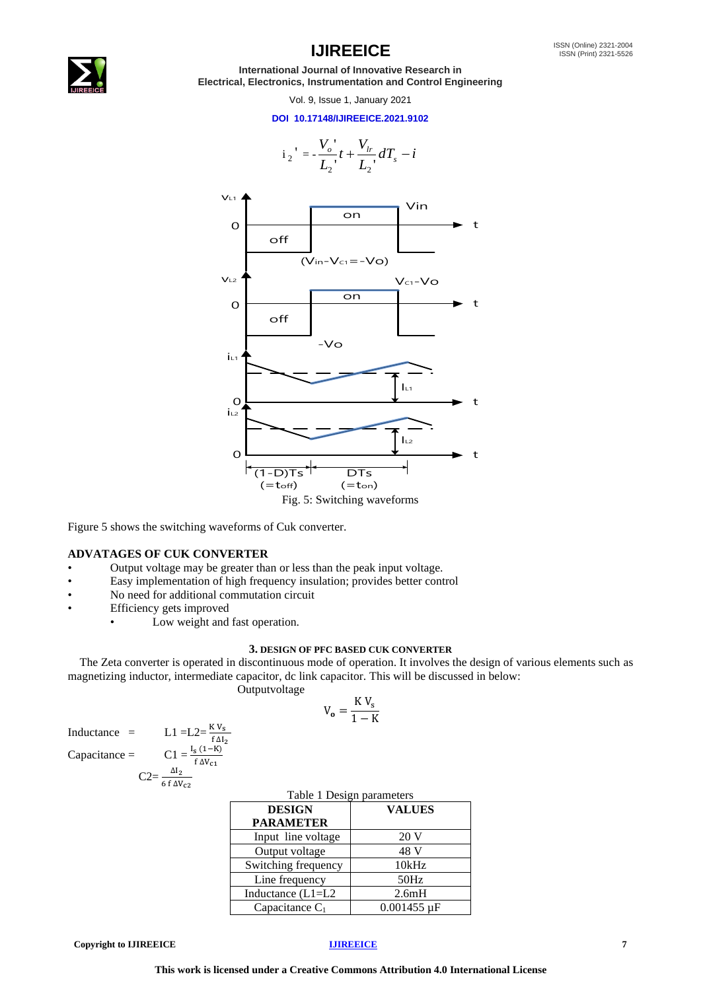

**International Journal of Innovative Research in Electrical, Electronics, Instrumentation and Control Engineering**

Vol. 9, Issue 1, January 2021

## **DOI 10.17148/IJIREEICE.2021.9102**

*V*

'



Figure 5 shows the switching waveforms of Cuk converter.

## **ADVATAGES OF CUK CONVERTER**

- Output voltage may be greater than or less than the peak input voltage.
- Easy implementation of high frequency insulation; provides better control
- No need for additional commutation circuit
- Efficiency gets improved
	- Low weight and fast operation.

 $\frac{K V_S}{f \Delta I_2}$ 

 $f$   $\Lambda$ V<sub>01</sub>

## **3. DESIGN OF PFC BASED CUK CONVERTER**

 The Zeta converter is operated in discontinuous mode of operation. It involves the design of various elements such as magnetizing inductor, intermediate capacitor, dc link capacitor. This will be discussed in below:

Outputvoltage

$$
V_o = \frac{K V_s}{1 - K}
$$

Inductance  $=$  L1 =L2=

Capacitance = 
$$
C1 = \frac{I_s (1-K)}{f AV}
$$

$$
C2 = \frac{\Delta I_2}{6 f \Delta V_{c2}}
$$

| Table 1 Design parameters |                               |  |  |  |
|---------------------------|-------------------------------|--|--|--|
| <b>DESIGN</b>             | <b>VALUES</b>                 |  |  |  |
| <b>PARAMETER</b>          |                               |  |  |  |
| Input line voltage        | 20 V                          |  |  |  |
| Output voltage            | 48 V                          |  |  |  |
| Switching frequency       | 10kHz                         |  |  |  |
| Line frequency            | 50Hz                          |  |  |  |
| Inductance (L1=L2         | 2.6mH                         |  |  |  |
| Capacitance $C_1$         | $0.001455 \,\mathrm{\upmu F}$ |  |  |  |

**Copyright to IJIREEICE** *IJIREEICE 7*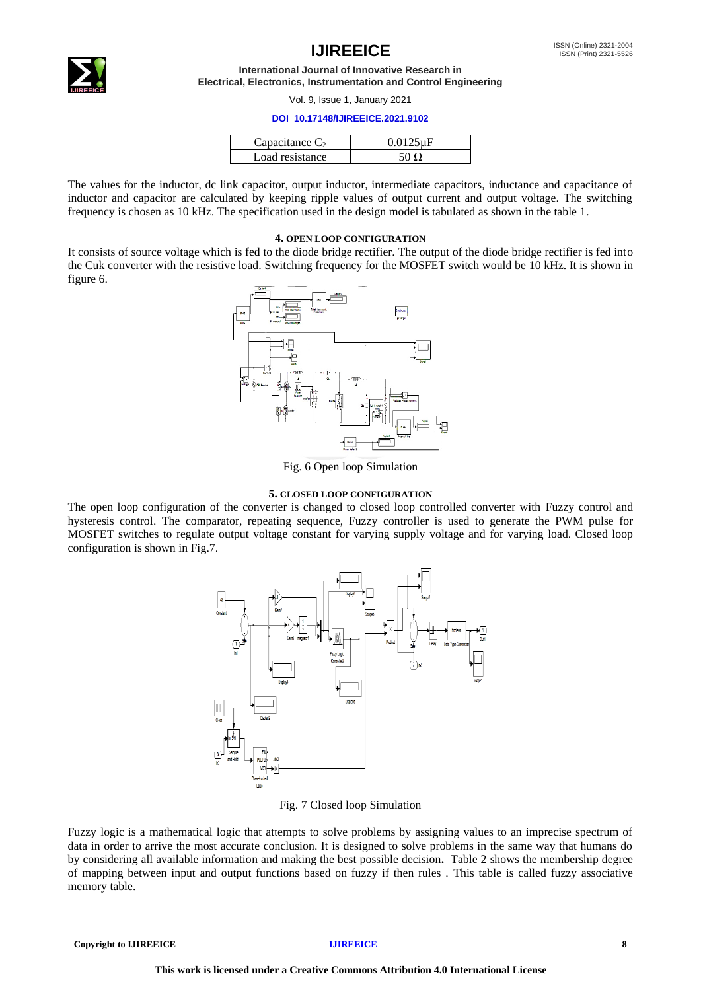**International Journal of Innovative Research in Electrical, Electronics, Instrumentation and Control Engineering**

Vol. 9, Issue 1, January 2021

## **DOI 10.17148/IJIREEICE.2021.9102**

| Capacitance $C_2$ | <u>ስ በ125 ሆሮ</u> |
|-------------------|------------------|
| Load resistance   |                  |

The values for the inductor, dc link capacitor, output inductor, intermediate capacitors, inductance and capacitance of inductor and capacitor are calculated by keeping ripple values of output current and output voltage. The switching frequency is chosen as 10 kHz. The specification used in the design model is tabulated as shown in the table 1.

## **4. OPEN LOOP CONFIGURATION**

It consists of source voltage which is fed to the diode bridge rectifier. The output of the diode bridge rectifier is fed into the Cuk converter with the resistive load. Switching frequency for the MOSFET switch would be 10 kHz. It is shown in figure 6.



Fig. 6 Open loop Simulation

## **5. CLOSED LOOP CONFIGURATION**

The open loop configuration of the converter is changed to closed loop controlled converter with Fuzzy control and hysteresis control. The comparator, repeating sequence, Fuzzy controller is used to generate the PWM pulse for MOSFET switches to regulate output voltage constant for varying supply voltage and for varying load. Closed loop configuration is shown in Fig.7.



Fig. 7 Closed loop Simulation

Fuzzy logic is a mathematical logic that attempts to solve problems by assigning values to an imprecise spectrum of data in order to arrive the most accurate conclusion. It is designed to solve problems in the same way that humans do by considering all available information and making the best possible decision**.** Table 2 shows the membership degree of mapping between input and output functions based on fuzzy if then rules . This table is called fuzzy associative memory table.

**Copyright to IJIREEICE [IJIREEICE](https://ijireeice.com/) 8**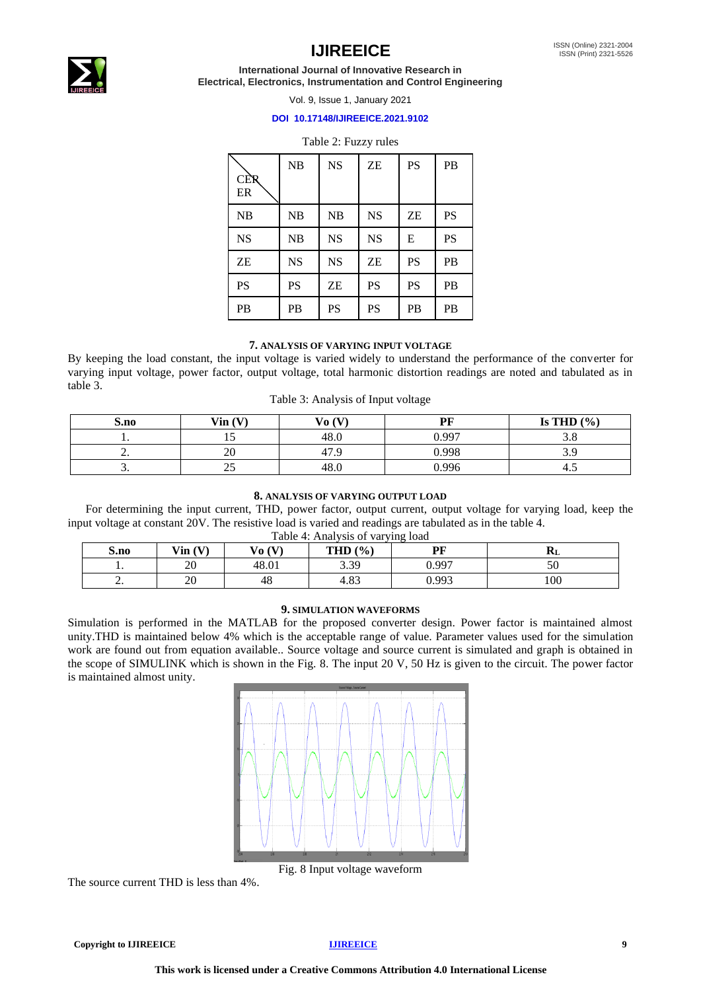

**International Journal of Innovative Research in Electrical, Electronics, Instrumentation and Control Engineering**

Vol. 9, Issue 1, January 2021

## **DOI 10.17148/IJIREEICE.2021.9102**

## Table 2: Fuzzy rules

| <b>CER</b><br>ER | NB        | <b>NS</b> | <b>ZE</b> | <b>PS</b> | PB        |
|------------------|-----------|-----------|-----------|-----------|-----------|
| NB               | NB        | NB        | <b>NS</b> | ZE        | <b>PS</b> |
| <b>NS</b>        | NB        | <b>NS</b> | <b>NS</b> | E         | <b>PS</b> |
| ZΕ               | <b>NS</b> | <b>NS</b> | ZΕ        | PS        | PB        |
| PS               | <b>PS</b> | ZΕ        | PS        | <b>PS</b> | PB        |
| PB               | PB        | PS        | PS        | PB        | PB        |

## **7. ANALYSIS OF VARYING INPUT VOLTAGE**

By keeping the load constant, the input voltage is varied widely to understand the performance of the converter for varying input voltage, power factor, output voltage, total harmonic distortion readings are noted and tabulated as in table 3.

|  |  |  |  | Table 3: Analysis of Input voltage |
|--|--|--|--|------------------------------------|
|--|--|--|--|------------------------------------|

| S.no     | $\text{Vin}(\text{V})$ | Vo(V) | PF    | Is THD $(\% )$ |
|----------|------------------------|-------|-------|----------------|
| . .      | ⊥J                     | 48.0  | 0.997 | റ റ<br>⊃.∪     |
| <u>.</u> | 20                     | 47.1  | 0.998 | 3 Q<br>ر،ر     |
| <u>.</u> | ل ک                    | 48.U  | 0.996 | 4.J            |

## **8. ANALYSIS OF VARYING OUTPUT LOAD**

 For determining the input current, THD, power factor, output current, output voltage for varying load, keep the input voltage at constant 20V. The resistive load is varied and readings are tabulated as in the table 4. Table 4: Analysis of varying load

| S.no     | $\mathbf{V}\mathbf{in}(\mathbf{V})$ | Vo(V) | THD $(\% )$    | DБ    | лvі. |
|----------|-------------------------------------|-------|----------------|-------|------|
| . .      | 20                                  | 48.01 | 3.39           | 0.997 |      |
| <u>.</u> | 20                                  | 48    | $\circ$<br>.ა. | 0.993 | 100  |

## **9. SIMULATION WAVEFORMS**

Simulation is performed in the MATLAB for the proposed converter design. Power factor is maintained almost unity.THD is maintained below 4% which is the acceptable range of value. Parameter values used for the simulation work are found out from equation available.. Source voltage and source current is simulated and graph is obtained in the scope of SIMULINK which is shown in the Fig. 8. The input 20 V, 50 Hz is given to the circuit. The power factor is maintained almost unity.



Fig. 8 Input voltage waveform

The source current THD is less than 4%.

**Copyright to IJIREEICE** *IJIREEICE 9*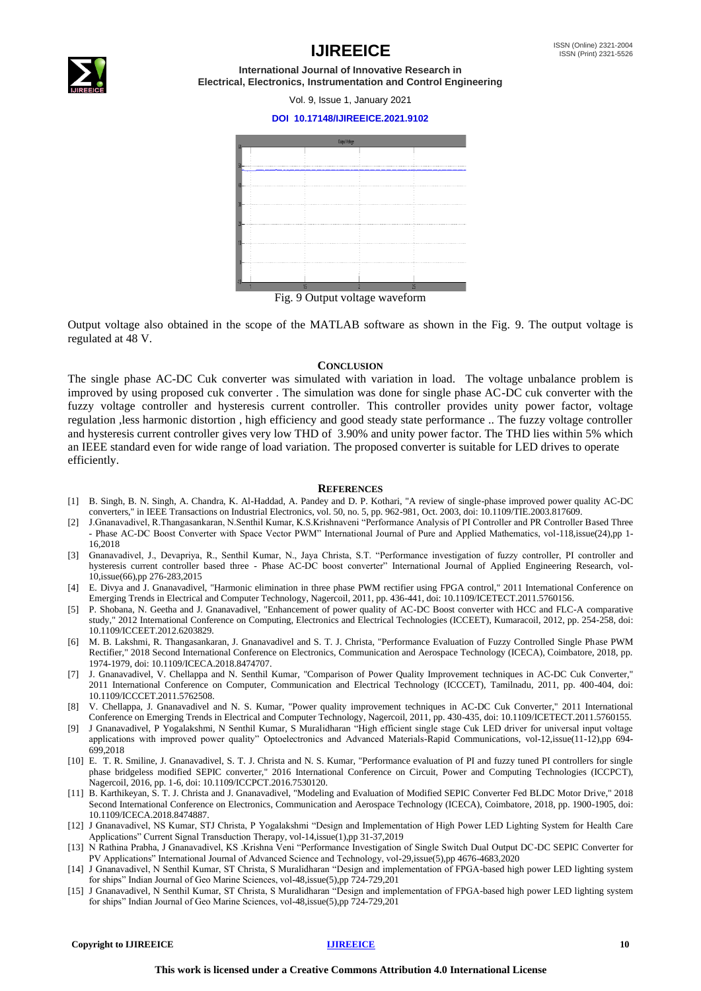

**International Journal of Innovative Research in Electrical, Electronics, Instrumentation and Control Engineering**

Vol. 9, Issue 1, January 2021

## **DOI 10.17148/IJIREEICE.2021.9102**



Fig. 9 Output voltage waveform

Output voltage also obtained in the scope of the MATLAB software as shown in the Fig. 9. The output voltage is regulated at 48 V.

### **CONCLUSION**

The single phase AC-DC Cuk converter was simulated with variation in load. The voltage unbalance problem is improved by using proposed cuk converter . The simulation was done for single phase AC-DC cuk converter with the fuzzy voltage controller and hysteresis current controller. This controller provides unity power factor, voltage regulation ,less harmonic distortion , high efficiency and good steady state performance .. The fuzzy voltage controller and hysteresis current controller gives very low THD of 3.90% and unity power factor. The THD lies within 5% which an IEEE standard even for wide range of load variation. The proposed converter is suitable for LED drives to operate efficiently.

### **REFERENCES**

- [1] B. Singh, B. N. Singh, A. Chandra, K. Al-Haddad, A. Pandey and D. P. Kothari, "A review of single-phase improved power quality AC-DC converters," in IEEE Transactions on Industrial Electronics, vol. 50, no. 5, pp. 962-981, Oct. 2003, doi: 10.1109/TIE.2003.817609.
- [2] J.Gnanavadivel, R.Thangasankaran, N.Senthil Kumar, K.S.Krishnaveni "Performance Analysis of PI Controller and PR Controller Based Three - Phase AC-DC Boost Converter with Space Vector PWM" International Journal of Pure and Applied Mathematics, vol-118,issue(24),pp 1- 16,2018
- [3] Gnanavadivel, J., Devapriya, R., Senthil Kumar, N., Jaya Christa, S.T. "Performance investigation of fuzzy controller, PI controller and hysteresis current controller based three - Phase AC-DC boost converter" International Journal of Applied Engineering Research, vol-10,issue(66),pp 276-283,2015
- [4] E. Divya and J. Gnanavadivel, "Harmonic elimination in three phase PWM rectifier using FPGA control," 2011 International Conference on Emerging Trends in Electrical and Computer Technology, Nagercoil, 2011, pp. 436-441, doi: 10.1109/ICETECT.2011.5760156.
- [5] P. Shobana, N. Geetha and J. Gnanavadivel, "Enhancement of power quality of AC-DC Boost converter with HCC and FLC-A comparative study," 2012 International Conference on Computing, Electronics and Electrical Technologies (ICCEET), Kumaracoil, 2012, pp. 254-258, doi: 10.1109/ICCEET.2012.6203829.
- [6] M. B. Lakshmi, R. Thangasankaran, J. Gnanavadivel and S. T. J. Christa, "Performance Evaluation of Fuzzy Controlled Single Phase PWM Rectifier," 2018 Second International Conference on Electronics, Communication and Aerospace Technology (ICECA), Coimbatore, 2018, pp. 1974-1979, doi: 10.1109/ICECA.2018.8474707.
- [7] J. Gnanavadivel, V. Chellappa and N. Senthil Kumar, "Comparison of Power Quality Improvement techniques in AC-DC Cuk Converter," 2011 International Conference on Computer, Communication and Electrical Technology (ICCCET), Tamilnadu, 2011, pp. 400-404, doi: 10.1109/ICCCET.2011.5762508.
- [8] V. Chellappa, J. Gnanavadivel and N. S. Kumar, "Power quality improvement techniques in AC-DC Cuk Converter," 2011 International Conference on Emerging Trends in Electrical and Computer Technology, Nagercoil, 2011, pp. 430-435, doi: 10.1109/ICETECT.2011.5760155.
- [9] J Gnanavadivel, P Yogalakshmi, N Senthil Kumar, S Muralidharan "High efficient single stage Cuk LED driver for universal input voltage applications with improved power quality" Optoelectronics and Advanced Materials-Rapid Communications, vol-12,issue(11-12),pp 694-699,2018
- [10] E. T. R. Smiline, J. Gnanavadivel, S. T. J. Christa and N. S. Kumar, "Performance evaluation of PI and fuzzy tuned PI controllers for single phase bridgeless modified SEPIC converter," 2016 International Conference on Circuit, Power and Computing Technologies (ICCPCT), Nagercoil, 2016, pp. 1-6, doi: 10.1109/ICCPCT.2016.7530120.
- [11] B. Karthikeyan, S. T. J. Christa and J. Gnanavadivel, "Modeling and Evaluation of Modified SEPIC Converter Fed BLDC Motor Drive," 2018 Second International Conference on Electronics, Communication and Aerospace Technology (ICECA), Coimbatore, 2018, pp. 1900-1905, doi: 10.1109/ICECA.2018.8474887.
- [12] J Gnanavadivel, NS Kumar, STJ Christa, P Yogalakshmi "Design and Implementation of High Power LED Lighting System for Health Care Applications" Current Signal Transduction Therapy, vol-14,issue(1),pp 31-37,2019
- [13] N Rathina Prabha, J Gnanavadivel, KS .Krishna Veni "Performance Investigation of Single Switch Dual Output DC-DC SEPIC Converter for PV Applications" International Journal of Advanced Science and Technology, vol-29,issue(5),pp 4676-4683,2020
- [14] J Gnanavadivel, N Senthil Kumar, ST Christa, S Muralidharan "Design and implementation of FPGA-based high power LED lighting system for ships" Indian Journal of Geo Marine Sciences, vol-48,issue(5),pp 724-729,201
- [15] J Gnanavadivel, N Senthil Kumar, ST Christa, S Muralidharan "Design and implementation of FPGA-based high power LED lighting system for ships" Indian Journal of Geo Marine Sciences, vol-48,issue(5),pp 724-729,201